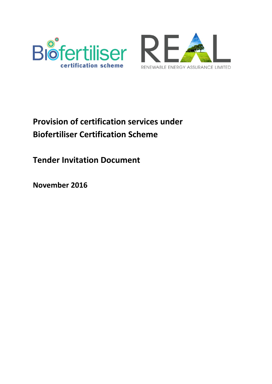



# **Provision of certification services under Biofertiliser Certification Scheme**

**Tender Invitation Document**

**November 2016**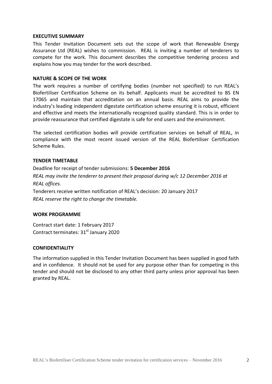### **EXECUTIVE SUMMARY**

This Tender Invitation Document sets out the scope of work that Renewable Energy Assurance Ltd (REAL) wishes to commission. REAL is inviting a number of tenderers to compete for the work. This document describes the competitive tendering process and explains how you may tender for the work described.

### **NATURE & SCOPE OF THE WORK**

The work requires a number of certifying bodies (number not specified) to run REAL's Biofertiliser Certification Scheme on its behalf. Applicants must be accredited to BS EN 17065 and maintain that accreditation on an annual basis. REAL aims to provide the industry's leading independent digestate certification scheme ensuring it is robust, efficient and effective and meets the internationally recognized quality standard. This is in order to provide reassurance that certified digestate is safe for end users and the environment.

The selected certification bodies will provide certification services on behalf of REAL, in compliance with the most recent issued version of the REAL Biofertiliser Certification Scheme Rules.

### **TENDER TIMETABLE**

Deadline for receipt of tender submissions: **5 December 2016** *REAL may invite the tenderer to present their proposal during w/c 12 December 2016 at REAL offices.* Tenderers receive written notification of REAL's decision: 20 January 2017

*REAL reserve the right to change the timetable.*

#### **WORK PROGRAMME**

Contract start date: 1 February 2017 Contract terminates: 31<sup>st</sup> January 2020

#### **CONFIDENTIALITY**

The information supplied in this Tender Invitation Document has been supplied in good faith and in confidence. It should not be used for any purpose other than for competing in this tender and should not be disclosed to any other third party unless prior approval has been granted by REAL.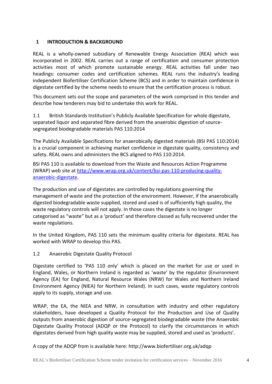# <span id="page-3-0"></span>**1 INTRODUCTION & BACKGROUND**

REAL is a wholly-owned subsidiary of Renewable Energy Association (REA) which was incorporated in 2002. REAL carries out a range of certification and consumer protection activities most of which promote sustainable energy. REAL activities fall under two headings: consumer codes and certification schemes. REAL runs the industry's leading independent Biofertiliser Certification Scheme (BCS) and in order to maintain confidence in digestate certified by the scheme needs to ensure that the certification process is robust.

This document sets out the scope and parameters of the work comprised in this tender and describe how tenderers may bid to undertake this work for REAL.

1.1 British Standards Institution's Publicly Available Specification for whole digestate, separated liquor and separated fibre derived from the anaerobic digestion of sourcesegregated biodegradable materials PAS 110:2014

The Publicly Available Specifications for anaerobically digested materials (BSI PAS [110:2014\)](http://www.wrap.org.uk/content/bsi-pas-100-producing-quality-compost) is a crucial component in achieving market confidence in digestate quality, consistency and safety. REAL owns and administers the BCS aligned to PAS 110:2014.

BSI PAS 110 is available to download from the Waste and Resources Action Programme (WRAP) web site at [http://www.wrap.org.uk/content/bsi-pas-110-producing-quality](http://www.wrap.org.uk/content/bsi-pas-110-producing-quality-anaerobic-digestate)[anaerobic-digestate.](http://www.wrap.org.uk/content/bsi-pas-110-producing-quality-anaerobic-digestate)

The production and use of digestates are controlled by regulations governing the management of waste and the protection of the environment. However, if the anaerobically digested biodegradable waste supplied, stored and used is of sufficiently high quality, the waste regulatory controls will not apply. In those cases the digestate is no longer categorised as "waste" but as a 'product' and therefore classed as fully recovered under the waste regulations.

In the United Kingdom, PAS 110 sets the minimum quality criteria for digestate. REAL has worked with WRAP to develop this PAS.

1.2 Anaerobic Digestate Quality Protocol

Digestate certified to 'PAS 110 only' which is placed on the market for use or used in England, Wales, or Northern Ireland is regarded as 'waste' by the regulator (Environment Agency (EA) for England, Natural Resource Wales (NRW) for Wales and Northern Ireland Environment Agency (NIEA) for Northern Ireland). In such cases, waste regulatory controls apply to its supply, storage and use.

WRAP, the EA, the NIEA and NRW, in consultation with industry and other regulatory stakeholders, have developed a Quality Protocol for the Production and Use of Quality outputs from anaerobic digestion of source-segregated biodegradable waste (the Anaerobic Digestate Quality Protocol (ADQP or the Protocol) to clarify the circumstances in which digestates derived from high quality waste may be supplied, stored and used as 'products'.

A copy of the ADQP from is available here: http://www.biofertiliser.org.uk/adqp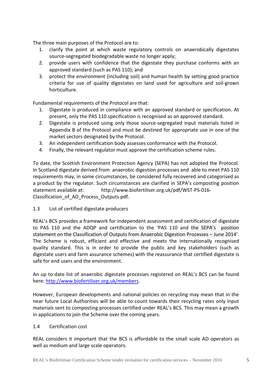The three main purposes of the Protocol are to:

- 1. clarify the point at which waste regulatory controls on anaerobically digestates source-segregated biodegradable waste no longer apply;
- 2. provide users with confidence that the digestate they purchase conforms with an approved standard (such as PAS 110); and
- 3. protect the environment (including soil) and human health by setting good practice criteria for use of quality digestates on land used for agriculture and soil-grown horticulture.

Fundamental requirements of the Protocol are that:

- 1. Digestate is produced in compliance with an approved standard or specification. At present, only the PAS 110 specification is recognised as an approved standard.
- 2. Digestate is produced using only those source-segregated input materials listed in Appendix B of the Protocol and must be destined for appropriate use in one of the market sectors designated by the Protocol.
- 3. An independent certification body assesses conformance with the Protocol.
- 4. Finally, the relevant regulator must approve the certification scheme rules.

To date, the Scottish Environment Protection Agency (SEPA) has not adopted the Protocol. In Scotland digestate derived from anaerobic digestion processes and able to meet PAS 110 requirements may, in some circumstances, be considered fully recovered and categorised as a product by the regulator. Such circumstances are clarified in SEPA's composting position statement available at: http://www.biofertiliser.org.uk/pdf/WST-PS-016- Classification of AD Process Outputs.pdf.

1.3 List of certified digestate producers

REAL's BCS provides a framework for independent assessment and certification of digestate to PAS 110 and the ADQP and certification to the 'PAS 110 and the SEPA's position statement on the Classification of Outputs from Anaerobic Digestion Processes – June 2014'. The Scheme is robust, efficient and effective and meets the internationally recognised quality standard. This is in order to provide the public and key stakeholders (such as digestate users and farm assurance schemes) with the reassurance that certified digestate is safe for end users and the environment.

An up to date list of anaerobic digestate processes registered on REAL's BCS can be found here: [http://www.biofertiliser.org.uk/members.](http://www.biofertiliser.org.uk/members)

However, European developments and national policies on recycling may mean that in the near future Local Authorities will be able to count towards their recycling rates only input materials sent to composting processes certified under REAL's BCS. This may mean a growth in applications to join the Scheme over the coming years.

## 1.4 Certification cost

REAL considers it important that the BCS is affordable to the small scale AD operators as well as medium and large scale operators.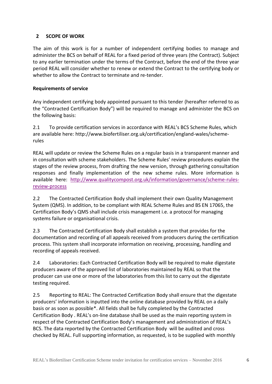# <span id="page-5-0"></span>**2 SCOPE OF WORK**

The aim of this work is for a number of independent certifying bodies to manage and administer the BCS on behalf of REAL for a fixed period of three years (the Contract). Subject to any earlier termination under the terms of the Contract, before the end of the three year period REAL will consider whether to renew or extend the Contract to the certifying body or whether to allow the Contract to terminate and re-tender.

## **Requirements of service**

Any independent certifying body appointed pursuant to this tender (hereafter referred to as the "Contracted Certification Body") will be required to manage and administer the BCS on the following basis:

2.1 To provide certification services in accordance with REAL's BCS Scheme Rules, which are available here: http://www.biofertiliser.org.uk/certification/england-wales/schemerules

REAL will update or review the Scheme Rules on a regular basis in a transparent manner and in consultation with scheme stakeholders. The Scheme Rules' review procedures explain the stages of the review process, from drafting the new version, through gathering consultation responses and finally implementation of the new scheme rules. More information is available here: [http://www.qualitycompost.org.uk/information/governance/scheme-rules](http://www.qualitycompost.org.uk/information/governance/scheme-rules-review-process)[review-process](http://www.qualitycompost.org.uk/information/governance/scheme-rules-review-process)

2.2 The Contracted Certification Body shall implement their own Quality Management System (QMS). In addition, to be compliant with REAL Scheme Rules and BS EN 17065, the Certification Body's QMS shall include crisis management i.e. a protocol for managing systems failure or organisational crisis.

2.3 The Contracted Certification Body shall establish a system that provides for the documentation and recording of all appeals received from producers during the certification process. This system shall incorporate information on receiving, processing, handling and recording of appeals received.

2.4 Laboratories: Each Contracted Certification Body will be required to make digestate producers aware of the approved list of laboratories maintained by REAL so that the producer can use one or more of the laboratories from this list to carry out the digestate testing required.

2.5 Reporting to REAL: The Contracted Certification Body shall ensure that the digestate producers' information is inputted into the online database provided by REAL on a daily basis or as soon as possible\*. All fields shall be fully completed by the Contracted Certification Body . REAL's on-line database shall be used as the main reporting system in respect of the Contracted Certification Body's management and administration of REAL's BCS. The data reported by the Contracted Certification Body will be audited and cross checked by REAL. Full supporting information, as requested, is to be supplied with monthly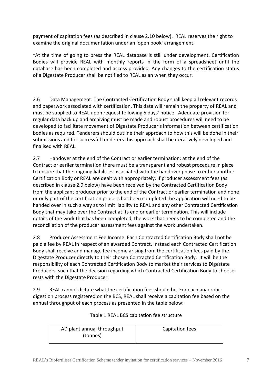payment of capitation fees (as described in clause 2.10 below). REAL reserves the right to examine the original documentation under an 'open book' arrangement.

\*At the time of going to press the REAL database is still under development. Certification Bodies will provide REAL with monthly reports in the form of a spreadsheet until the database has been completed and access provided. Any changes to the certification status of a Digestate Producer shall be notified to REAL as an when they occur.

2.6 Data Management: The Contracted Certification Body shall keep all relevant records and paperwork associated with certification. This data will remain the property of REAL and must be supplied to REAL upon request following 5 days' notice. Adequate provision for regular data back up and archiving must be made and robust procedures will need to be developed to facilitate movement of Digestate Producer's information between certification bodies as required. Tenderers should outline their approach to how this will be done in their submissions and for successful tenderers this approach shall be iteratively developed and finalised with REAL.

2.7 Handover at the end of the Contract or earlier termination: at the end of the Contract or earlier termination there must be a transparent and robust procedure in place to ensure that the ongoing liabilities associated with the handover phase to either another Certification Body or REAL are dealt with appropriately. If producer assessment fees (as described in clause 2.9 below) have been received by the Contracted Certification Body from the applicant producer prior to the end of the Contract or earlier termination and none or only part of the certification process has been completed the application will need to be handed over in such a way as to limit liability to REAL and any other Contracted Certification Body that may take over the Contract at its end or earlier termination. This will include details of the work that has been completed, the work that needs to be completed and the reconciliation of the producer assessment fees against the work undertaken.

2.8 Producer Assessment Fee Income: Each Contracted Certification Body shall not be paid a fee by REAL in respect of an awarded Contract. Instead each Contracted Certification Body shall receive and manage fee income arising from the certification fees paid by the Digestate Producer directly to their chosen Contracted Certification Body. It will be the responsibility of each Contracted Certification Body to market their services to Digestate Producers, such that the decision regarding which Contracted Certification Body to choose rests with the Digestate Producer.

2.9 REAL cannot dictate what the certification fees should be. For each anaerobic digestion process registered on the BCS, REAL shall receive a capitation fee based on the annual throughput of each process as presented in the table below:

| AD plant annual throughput | Capitation fees |
|----------------------------|-----------------|
| (tonnes)                   |                 |

# Table 1 REAL BCS capitation fee structure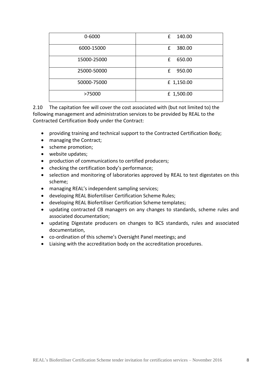| $0 - 6000$  | 140.00<br>£ |
|-------------|-------------|
| 6000-15000  | 380.00<br>£ |
| 15000-25000 | £<br>650.00 |
| 25000-50000 | £<br>950.00 |
| 50000-75000 | £ 1,150.00  |
| >75000      | £ 1,500.00  |

2.10 The capitation fee will cover the cost associated with (but not limited to) the following management and administration services to be provided by REAL to the Contracted Certification Body under the Contract:

- providing training and technical support to the Contracted Certification Body;
- managing the Contract;
- scheme promotion;
- website updates;
- production of communications to certified producers;
- checking the certification body's performance;
- selection and monitoring of laboratories approved by REAL to test digestates on this scheme;
- managing REAL's independent sampling services;
- developing REAL Biofertiliser Certification Scheme Rules;
- developing REAL Biofertiliser Certification Scheme templates;
- updating contracted CB managers on any changes to standards, scheme rules and associated documentation;
- updating Digestate producers on changes to BCS standards, rules and associated documentation,
- co-ordination of this scheme's Oversight Panel meetings; and
- Liaising with the accreditation body on the accreditation procedures.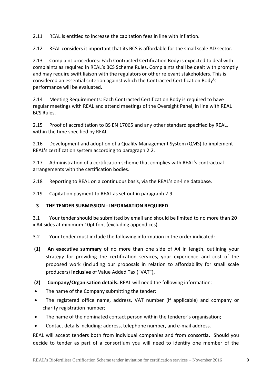2.11 REAL is entitled to increase the capitation fees in line with inflation.

2.12 REAL considers it important that its BCS is affordable for the small scale AD sector.

2.13 Complaint procedures: Each Contracted Certification Body is expected to deal with complaints as required in REAL's BCS Scheme Rules. Complaints shall be dealt with promptly and may require swift liaison with the regulators or other relevant stakeholders. This is considered an essential criterion against which the Contracted Certification Body's performance will be evaluated.

2.14 Meeting Requirements: Each Contracted Certification Body is required to have regular meetings with REAL and attend meetings of the Oversight Panel, in line with REAL BCS Rules.

2.15 Proof of accreditation to BS EN 17065 and any other standard specified by REAL, within the time specified by REAL.

2.16 Development and adoption of a Quality Management System (QMS) to implement REAL's certification system according to paragraph 2.2.

2.17 Administration of a certification scheme that complies with REAL's contractual arrangements with the certification bodies.

2.18 Reporting to REAL on a continuous basis, via the REAL's on-line database.

2.19 Capitation payment to REAL as set out in paragraph 2.9.

## <span id="page-8-0"></span>**3 THE TENDER SUBMISSION - INFORMATION REQUIRED**

3.1 Your tender should be submitted by email and should be limited to no more than 20 x A4 sides at minimum 10pt font (excluding appendices).

3.2 Your tender must include the following information in the order indicated:

- **(1) An executive summary** of no more than one side of A4 in length, outlining your strategy for providing the certification services, your experience and cost of the proposed work (including our proposals in relation to affordability for small scale producers) **inclusive** of Value Added Tax ("VAT"),
- **(2) Company/Organisation details.** REAL will need the following information:
- The name of the Company submitting the tender;
- The registered office name, address, VAT number (if applicable) and company or charity registration number;
- The name of the nominated contact person within the tenderer's organisation;
- Contact details including: address, telephone number, and e-mail address.

REAL will accept tenders both from individual companies and from consortia. Should you decide to tender as part of a consortium you will need to identify one member of the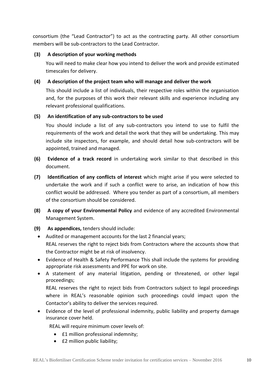consortium (the "Lead Contractor") to act as the contracting party. All other consortium members will be sub-contractors to the Lead Contractor.

## **(3) A description of your working methods**

You will need to make clear how you intend to deliver the work and provide estimated timescales for delivery.

# **(4) A description of the project team who will manage and deliver the work**

This should include a list of individuals, their respective roles within the organisation and, for the purposes of this work their relevant skills and experience including any relevant professional qualifications.

# **(5) An identification of any sub-contractors to be used**

You should include a list of any sub-contractors you intend to use to fulfil the requirements of the work and detail the work that they will be undertaking. This may include site inspectors, for example, and should detail how sub-contractors will be appointed, trained and managed.

- **(6) Evidence of a track record** in undertaking work similar to that described in this document.
- **(7) Identification of any conflicts of interest** which might arise if you were selected to undertake the work and if such a conflict were to arise, an indication of how this conflict would be addressed. Where you tender as part of a consortium, all members of the consortium should be considered.
- **(8) A copy of your Environmental Policy** and evidence of any accredited Environmental Management System.
- **(9) As appendices,** tenders should include:
	- Audited or management accounts for the last 2 financial years; REAL reserves the right to reject bids from Contractors where the accounts show that the Contractor might be at risk of insolvency.
	- Evidence of Health & Safety Performance This shall include the systems for providing appropriate risk assessments and PPE for work on site.
	- A statement of any material litigation, pending or threatened, or other legal proceedings;

REAL reserves the right to reject bids from Contractors subject to legal proceedings where in REAL's reasonable opinion such proceedings could impact upon the Contactor's ability to deliver the services required.

 Evidence of the level of professional indemnity, public liability and property damage insurance cover held.

REAL will require minimum cover levels of:

- **£1 million professional indemnity;**
- £2 million public liability;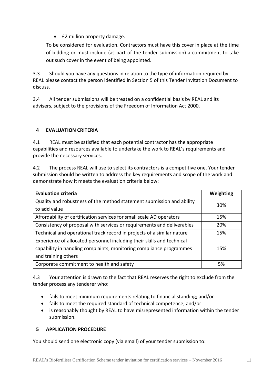• **£2 million property damage.** 

To be considered for evaluation, Contractors must have this cover in place at the time of bidding or must include (as part of the tender submission) a commitment to take out such cover in the event of being appointed.

3.3 Should you have any questions in relation to the type of information required by REAL please contact the person identified in Section 5 of this Tender Invitation Document to discuss.

3.4 All tender submissions will be treated on a confidential basis by REAL and its advisers, subject to the provisions of the Freedom of Information Act 2000.

# <span id="page-10-0"></span>**4 EVALUATION CRITERIA**

4.1 REAL must be satisfied that each potential contractor has the appropriate capabilities and resources available to undertake the work to REAL's requirements and provide the necessary services.

4.2 The process REAL will use to select its contractors is a competitive one. Your tender submission should be written to address the key requirements and scope of the work and demonstrate how it meets the evaluation criteria below:

| <b>Evaluation criteria</b>                                             | Weighting |
|------------------------------------------------------------------------|-----------|
| Quality and robustness of the method statement submission and ability  | 30%       |
| to add value                                                           |           |
| Affordability of certification services for small scale AD operators   | 15%       |
| Consistency of proposal with services or requirements and deliverables | 20%       |
| Technical and operational track record in projects of a similar nature | 15%       |
| Experience of allocated personnel including their skills and technical |           |
| capability in handling complaints, monitoring compliance programmes    | 15%       |
| and training others                                                    |           |
| Corporate commitment to health and safety                              | 5%        |

4.3 Your attention is drawn to the fact that REAL reserves the right to exclude from the tender process any tenderer who:

- fails to meet minimum requirements relating to financial standing; and/or
- fails to meet the required standard of technical competence; and/or
- is reasonably thought by REAL to have misrepresented information within the tender submission.

# <span id="page-10-1"></span>**5 APPLICATION PROCEDURE**

You should send one electronic copy (via email) of your tender submission to: